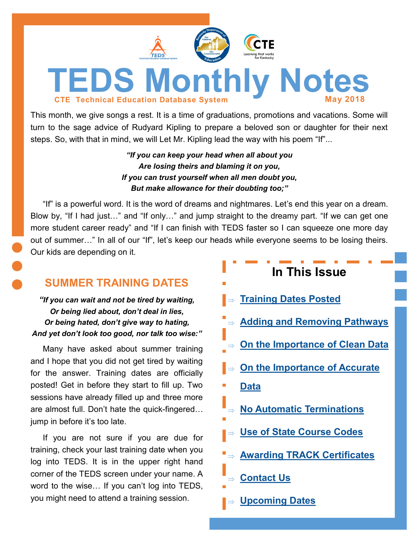<span id="page-0-0"></span>

This month, we give songs a rest. It is a time of graduations, promotions and vacations. Some will turn to the sage advice of Rudyard Kipling to prepare a beloved son or daughter for their next steps. So, with that in mind, we will Let Mr. Kipling lead the way with his poem "If"...

> *"If you can keep your head when all about you Are losing theirs and blaming it on you, If you can trust yourself when all men doubt you, But make allowance for their doubting too;"*

"If" is a powerful word. It is the word of dreams and nightmares. Let's end this year on a dream. Blow by, "If I had just…" and "If only…" and jump straight to the dreamy part. "If we can get one more student career ready" and "If I can finish with TEDS faster so I can squeeze one more day out of summer…" In all of our "If", let's keep our heads while everyone seems to be losing theirs. Our kids are depending on it.

## **SUMMER TRAINING DATES**

*"If you can wait and not be tired by waiting, Or being lied about, don't deal in lies, Or being hated, don't give way to hating, And yet don't look too good, nor talk too wise:"*

Many have asked about summer training and I hope that you did not get tired by waiting for the answer. Training dates are officially posted! Get in before they start to fill up. Two sessions have already filled up and three more are almost full. Don't hate the quick-fingered… jump in before it's too late.

If you are not sure if you are due for training, check your last training date when you log into TEDS. It is in the upper right hand corner of the TEDS screen under your name. A word to the wise… If you can't log into TEDS, you might need to attend a training session.

| In This Issue                                 |
|-----------------------------------------------|
| $\Rightarrow$ Training Dates Posted           |
| Adding and Removing Pathways                  |
| $\Rightarrow$ On the Importance of Clean Data |
| $\Rightarrow$ On the Importance of Accurate   |
| <b>Data</b>                                   |
| $\Rightarrow$ No Automatic Terminations       |
| ⇒ Use of State Course Codes                   |
| ■ Awarding TRACK Certificates                 |
| $\Rightarrow$ Contact Us                      |
| <b>Solution Setup</b> Supering Dates          |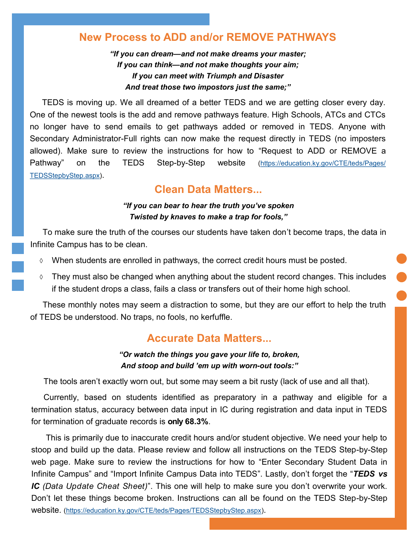## <span id="page-1-0"></span>**New Process to ADD and/or REMOVE PATHWAYS**

*"If you can dream—and not make dreams your master; If you can think—and not make thoughts your aim; If you can meet with Triumph and Disaster And treat those two impostors just the same;"*

TEDS is moving up. We all dreamed of a better TEDS and we are getting closer every day. One of the newest tools is the add and remove pathways feature. High Schools, ATCs and CTCs no longer have to send emails to get pathways added or removed in TEDS. Anyone with Secondary Administrator-Full rights can now make the request directly in TEDS (no imposters allowed). Make sure to review the instructions for how to "Request to ADD or REMOVE a Pathway" on the TEDS Step-by-Step website ([https://education.ky.gov/CTE/teds/Pages/](https://education.ky.gov/CTE/teds/Pages/TEDSStepbyStep.aspx) [TEDSStepbyStep.aspx\)](https://education.ky.gov/CTE/teds/Pages/TEDSStepbyStep.aspx).

## **Clean Data Matters...**

#### *"If you can bear to hear the truth you've spoken Twisted by knaves to make a trap for fools,"*

To make sure the truth of the courses our students have taken don't become traps, the data in Infinite Campus has to be clean.

- $\Diamond$  When students are enrolled in pathways, the correct credit hours must be posted.
- $\Diamond$  They must also be changed when anything about the student record changes. This includes if the student drops a class, fails a class or transfers out of their home high school.

These monthly notes may seem a distraction to some, but they are our effort to help the truth of TEDS be understood. No traps, no fools, no kerfuffle.

## **Accurate Data Matters...**

#### *"Or watch the things you gave your life to, broken, And stoop and build 'em up with worn-out tools:"*

The tools aren't exactly worn out, but some may seem a bit rusty (lack of use and all that).

Currently, based on students identified as preparatory in a pathway and eligible for a termination status, accuracy between data input in IC during registration and data input in TEDS for termination of graduate records is **only 68.3%**.

This is primarily due to inaccurate credit hours and/or student objective. We need your help to stoop and build up the data. Please review and follow all instructions on the TEDS Step-by-Step web page. Make sure to review the instructions for how to "Enter Secondary Student Data in Infinite Campus" and "Import Infinite Campus Data into TEDS". Lastly, don't forget the "*TEDS vs IC (Data Update Cheat Sheet)*". This one will help to make sure you don't overwrite your work. Don't let these things become broken. Instructions can all be found on the TEDS Step-by-Step website. ([https://education.ky.gov/CTE/teds/Pages/TEDSStepbyStep.aspx\)](https://education.ky.gov/CTE/teds/Pages/TEDSStepbyStep.aspx).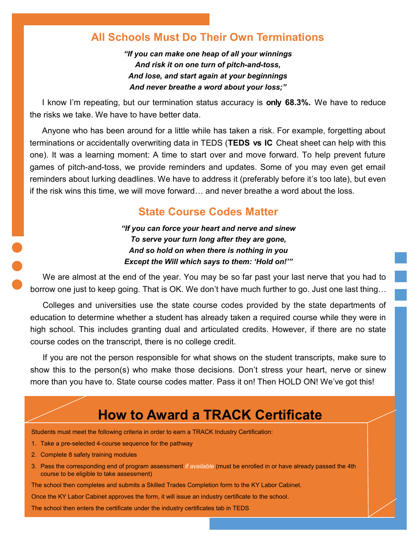### <span id="page-2-0"></span>**All Schools Must Do Their Own Terminations**

*"If you can make one heap of all your winnings And risk it on one turn of pitch-and-toss, And lose, and start again at your beginnings And never breathe a word about your loss;"*

I know I'm repeating, but our termination status accuracy is **only 68.3%.** We have to reduce the risks we take. We have to have better data.

Anyone who has been around for a little while has taken a risk. For example, forgetting about terminations or accidentally overwriting data in TEDS (**TEDS vs IC** Cheat sheet can help with this one). It was a learning moment: A time to start over and move forward. To help prevent future games of pitch-and-toss, we provide reminders and updates. Some of you may even get email reminders about lurking deadlines. We have to address it (preferably before it's too late), but even if the risk wins this time, we will move forward… and never breathe a word about the loss.

### **State Course Codes Matter**

*"If you can force your heart and nerve and sinew To serve your turn long after they are gone, And so hold on when there is nothing in you Except the Will which says to them: 'Hold on!'"*

We are almost at the end of the year. You may be so far past your last nerve that you had to borrow one just to keep going. That is OK. We don't have much further to go. Just one last thing…

Colleges and universities use the state course codes provided by the state departments of education to determine whether a student has already taken a required course while they were in high school. This includes granting dual and articulated credits. However, if there are no state course codes on the transcript, there is no college credit.

If you are not the person responsible for what shows on the student transcripts, make sure to show this to the person(s) who make those decisions. Don't stress your heart, nerve or sinew more than you have to. State course codes matter. Pass it on! Then HOLD ON! We've got this!

# **How to Award a TRACK Certificate**

Students must meet the following criteria in order to earn a TRACK Industry Certification:

- 1. Take a pre-selected 4-course sequence for the pathway
- 2. Complete 8 safety training modules
- 3. Pass the corresponding end of program assessment *if available* (must be enrolled in or have already passed the 4th course to be eligible to take assessment)

The school then completes and submits a Skilled Trades Completion form to the KY Labor Cabinet.

Once the KY Labor Cabinet approves the form, it will issue an industry certificate to the school.

The school then enters the certificate under the industry certificates tab in TEDS